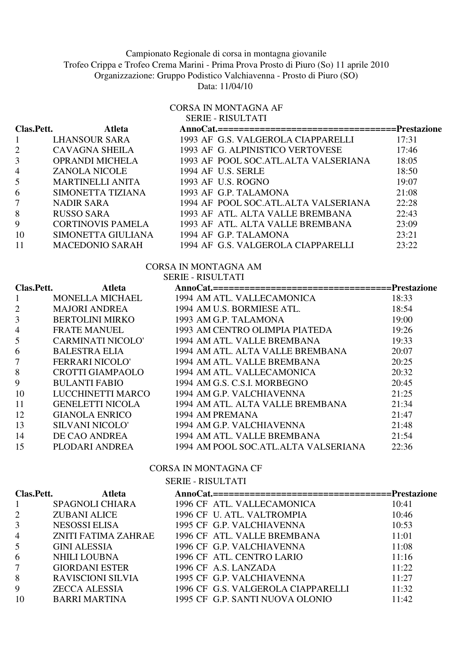# Campionato Regionale di corsa in montagna giovanile

Trofeo Crippa e Trofeo Crema Marini - Prima Prova Prosto di Piuro (So) 11 aprile 2010

Organizzazione: Gruppo Podistico Valchiavenna - Prosto di Piuro (SO)

Data: 11/04/10

## CORSA IN MONTAGNA AF SERIE - RISULTATI

| Clas.Pett.     | <b>Atleta</b>            |                                      |       |
|----------------|--------------------------|--------------------------------------|-------|
|                | <b>LHANSOUR SARA</b>     | 1993 AF G.S. VALGEROLA CIAPPARELLI   | 17:31 |
| 2              | <b>CAVAGNA SHEILA</b>    | 1993 AF G. ALPINISTICO VERTOVESE     | 17:46 |
| 3              | <b>OPRANDI MICHELA</b>   | 1993 AF POOL SOC.ATL.ALTA VALSERIANA | 18:05 |
| $\overline{4}$ | <b>ZANOLA NICOLE</b>     | 1994 AF U.S. SERLE                   | 18:50 |
| 5              | <b>MARTINELLI ANITA</b>  | 1993 AF U.S. ROGNO                   | 19:07 |
| 6              | SIMONETTA TIZIANA        | 1993 AF G.P. TALAMONA                | 21:08 |
| 7              | <b>NADIR SARA</b>        | 1994 AF POOL SOC.ATL.ALTA VALSERIANA | 22:28 |
| 8              | <b>RUSSO SARA</b>        | 1993 AF ATL. ALTA VALLE BREMBANA     | 22:43 |
| 9              | <b>CORTINOVIS PAMELA</b> | 1993 AF ATL. ALTA VALLE BREMBANA     | 23:09 |
| 10             | SIMONETTA GIULIANA       | 1994 AF G.P. TALAMONA                | 23:21 |
| 11             | <b>MACEDONIO SARAH</b>   | 1994 AF G.S. VALGEROLA CIAPPARELLI   | 23:22 |

# CORSA IN MONTAGNA AM

#### SERIE - RISULTATI

| Clas.Pett.     | <b>Atleta</b>            | AnnoCat.==================================Prestazione |       |
|----------------|--------------------------|-------------------------------------------------------|-------|
|                | <b>MONELLA MICHAEL</b>   | 1994 AM ATL. VALLECAMONICA                            | 18:33 |
| $\overline{2}$ | <b>MAJORI ANDREA</b>     | 1994 AM U.S. BORMIESE ATL.                            | 18:54 |
| 3              | <b>BERTOLINI MIRKO</b>   | 1993 AM G.P. TALAMONA                                 | 19:00 |
| 4              | <b>FRATE MANUEL</b>      | 1993 AM CENTRO OLIMPIA PIATEDA                        | 19:26 |
| 5              | <b>CARMINATI NICOLO'</b> | 1994 AM ATL. VALLE BREMBANA                           | 19:33 |
| 6              | <b>BALESTRA ELIA</b>     | 1994 AM ATL. ALTA VALLE BREMBANA                      | 20:07 |
| 7              | FERRARI NICOLO'          | 1994 AM ATL. VALLE BREMBANA                           | 20:25 |
| 8              | <b>CROTTI GIAMPAOLO</b>  | 1994 AM ATL. VALLECAMONICA                            | 20:32 |
| 9              | <b>BULANTI FABIO</b>     | 1994 AM G.S. C.S.I. MORBEGNO                          | 20:45 |
| 10             | LUCCHINETTI MARCO        | 1994 AM G.P. VALCHIAVENNA                             | 21:25 |
| 11             | <b>GENELETTI NICOLA</b>  | 1994 AM ATL. ALTA VALLE BREMBANA                      | 21:34 |
| 12             | <b>GIANOLA ENRICO</b>    | 1994 AM PREMANA                                       | 21:47 |
| 13             | <b>SILVANI NICOLO'</b>   | 1994 AM G.P. VALCHIAVENNA                             | 21:48 |
| 14             | DE CAO ANDREA            | 1994 AM ATL. VALLE BREMBANA                           | 21:54 |
| 15             | PLODARI ANDREA           | 1994 AM POOL SOC.ATL.ALTA VALSERIANA                  | 22:36 |

# CORSA IN MONTAGNA CF

#### SERIE - RISULTATI

| Clas.Pett.     | <b>Atleta</b>            | AnnoCat.===================================Prestazione |       |
|----------------|--------------------------|--------------------------------------------------------|-------|
| $\mathbf{1}$   | <b>SPAGNOLI CHIARA</b>   | 1996 CF ATL. VALLECAMONICA                             | 10:41 |
| $\overline{2}$ | ZUBANI ALICE             | 1996 CF U. ATL. VALTROMPIA                             | 10:46 |
| $\mathfrak{Z}$ | <b>NESOSSI ELISA</b>     | 1995 CF G.P. VALCHIAVENNA                              | 10:53 |
| $\overline{4}$ | ZNITI FATIMA ZAHRAE      | 1996 CF ATL. VALLE BREMBANA                            | 11:01 |
| $5^{\circ}$    | <b>GINI ALESSIA</b>      | 1996 CF G.P. VALCHIAVENNA                              | 11:08 |
| 6              | <b>NHILI LOUBNA</b>      | 1996 CF ATL. CENTRO LARIO                              | 11:16 |
| 7 <sup>1</sup> | <b>GIORDANI ESTER</b>    | 1996 CF A.S. LANZADA                                   | 11:22 |
| 8              | <b>RAVISCIONI SILVIA</b> | 1995 CF G.P. VALCHIAVENNA                              | 11:27 |
| 9              | ZECCA ALESSIA            | 1996 CF G.S. VALGEROLA CIAPPARELLI                     | 11:32 |
| 10             | <b>BARRI MARTINA</b>     | 1995 CF G.P. SANTI NUOVA OLONIO                        | 11:42 |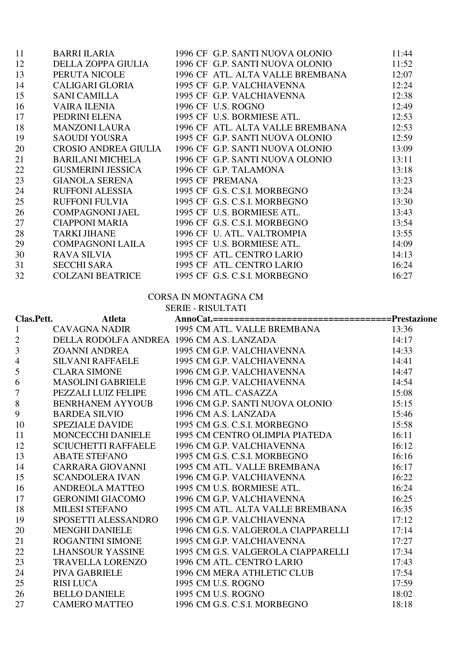| 11 | <b>BARRI ILARIA</b>      | 1996 CF G.P. SANTI NUOVA OLONIO  | 11:44 |
|----|--------------------------|----------------------------------|-------|
| 12 | DELLA ZOPPA GIULIA       | 1996 CF G.P. SANTI NUOVA OLONIO  | 11:52 |
| 13 | PERUTA NICOLE            | 1996 CF ATL. ALTA VALLE BREMBANA | 12:07 |
| 14 | CALIGARI GLORIA          | 1995 CF G.P. VALCHIAVENNA        | 12:24 |
| 15 | <b>SANI CAMILLA</b>      | 1995 CF G.P. VALCHIAVENNA        | 12:38 |
| 16 | VAIRA ILENIA             | 1996 CF U.S. ROGNO               | 12:49 |
| 17 | PEDRINI ELENA            | 1995 CF U.S. BORMIESE ATL.       | 12:53 |
| 18 | MANZONI LAURA            | 1996 CF ATL. ALTA VALLE BREMBANA | 12:53 |
| 19 | <b>SAOUDI YOUSRA</b>     | 1995 CF G.P. SANTI NUOVA OLONIO  | 12:59 |
| 20 | CROSIO ANDREA GIULIA     | 1996 CF G.P. SANTI NUOVA OLONIO  | 13:09 |
| 21 | <b>BARILANI MICHELA</b>  | 1996 CF G.P. SANTI NUOVA OLONIO  | 13:11 |
| 22 | <b>GUSMERINI JESSICA</b> | 1996 CF G.P. TALAMONA            | 13:18 |
| 23 | <b>GIANOLA SERENA</b>    | 1995 CF PREMANA                  | 13:23 |
| 24 | <b>RUFFONI ALESSIA</b>   | 1995 CF G.S. C.S.I. MORBEGNO     | 13:24 |
| 25 | <b>RUFFONI FULVIA</b>    | 1995 CF G.S. C.S.I. MORBEGNO     | 13:30 |
| 26 | <b>COMPAGNONI JAEL</b>   | 1995 CF U.S. BORMIESE ATL.       | 13:43 |
| 27 | <b>CIAPPONI MARIA</b>    | 1996 CF G.S. C.S.I. MORBEGNO     | 13:54 |
| 28 | <b>TARKI JIHANE</b>      | 1996 CF U. ATL. VALTROMPIA       | 13:55 |
| 29 | COMPAGNONI LAILA         | 1995 CF U.S. BORMIESE ATL.       | 14:09 |
| 30 | <b>RAVA SILVIA</b>       | 1995 CF ATL. CENTRO LARIO        | 14:13 |
| 31 | <b>SECCHI SARA</b>       | 1995 CF ATL. CENTRO LARIO        | 16:24 |
| 32 | <b>COLZANI BEATRICE</b>  | 1995 CF G.S. C.S.I. MORBEGNO     | 16:27 |

# CORSA IN MONTAGNA CM

| <b>SERIE - RISULTATI</b> |
|--------------------------|
|                          |

| Clas.Pett.               | <b>Atleta</b>                             |                                                                                                                                                                              |       |
|--------------------------|-------------------------------------------|------------------------------------------------------------------------------------------------------------------------------------------------------------------------------|-------|
| $\mathbf{1}$             | CAVAGNA NADIR                             | 1995 CM ATL. VALLE BREMBANA 13:36                                                                                                                                            |       |
| $\overline{2}$           | DELLA RODOLFA ANDREA 1996 CM A.S. LANZADA | 1995 CM A.S. LANZADA 14:17<br>1995 CM G.P. VALCHIAVENNA 14:33<br>1995 CM G.P. VALCHIAVENNA 14:33                                                                             |       |
| 3                        | ZOANNI ANDREA                             |                                                                                                                                                                              |       |
| $\overline{\mathcal{L}}$ | <b>SILVANI RAFFAELE</b>                   |                                                                                                                                                                              |       |
| 5                        | <b>CLARA SIMONE</b>                       | $\frac{14:47}{14:54}$<br>1996 CM G.P. VALCHIAVENNA                                                                                                                           |       |
| 6                        | <b>MASOLINI GABRIELE</b>                  | 1996 CM G.P. VALCHIAVENNA                                                                                                                                                    |       |
| $\tau$                   | PEZZALI LUIZ FELIPE 1996 CM ATL. CASAZZA  |                                                                                                                                                                              | 15:08 |
| 8                        |                                           | BENRHANEM AYYOUB 1996 CM G.P. SANTI NUOVA OLONIO 15:15                                                                                                                       |       |
| 9                        | <b>BARDEA SILVIO</b>                      | $\frac{15:46}{15:58}$<br>1996 CM A.S. LANZADA                                                                                                                                |       |
| 10                       | <b>SPEZIALE DAVIDE</b>                    | 1995 CM G.S. C.S.I. MORBEGNO                                                                                                                                                 |       |
| 11                       |                                           | MONCECCHI DANIELE 1995 CM CENTRO OLIMPIA PIATEDA 16:11                                                                                                                       |       |
| 12                       | <b>SCIUCHETTI RAFFAELE</b>                | 1996 CM G.P. VALCHIAVENNA                                                                                                                                                    |       |
| 13                       | <b>ABATE STEFANO</b>                      | $\frac{16:12}{16:16}$<br>1995 CM G.S. C.S.I. MORBEGNO                                                                                                                        |       |
| 14                       | CARRARA GIOVANNI                          | 1995 CM ATL. VALLE BREMBANA 16:17                                                                                                                                            |       |
| 15                       | <b>SCANDOLERA IVAN</b>                    | 1996 CM G.P. VALCHIAVENNA                                                                                                                                                    | 16:22 |
| 16                       | ANDREOLA MATTEO                           | 1995 CM U.S. BORMIESE ATL.<br>1996 CM G P VALCHIAVENNA 16:25                                                                                                                 |       |
| 17                       | GERONIMI GIACOMO                          | 1996 CM G.P. VALCHIAVENNA                                                                                                                                                    | 16:25 |
| 18                       | <b>MILESI STEFANO</b>                     | 1995 CM ATL. ALTA VALLE BREMBANA 16:35                                                                                                                                       |       |
| 19                       |                                           | SPOSETTI ALESSANDRO 1996 CM G.P. VALCHIAVENNA                                                                                                                                | 17:12 |
| 20                       | <b>MENGHI DANIELE</b>                     | 1996 CM G.S. VALGEROLA CIAPPARELLI 17:14                                                                                                                                     |       |
| 21                       | ROGANTINI SIMONE                          | 1995 CM G.P. VALCHIAVENNA                                                                                                                                                    | 17:27 |
| 22                       | LHANSOUR YASSINE                          | 1995 CM G.S. VALGEROLA CIAPPARELLI 17:34                                                                                                                                     |       |
| 23                       | TRAVELLA LORENZO                          | 1996 CM ATL. CENTRO LARIO                                                                                                                                                    | 17:43 |
| 24                       |                                           |                                                                                                                                                                              |       |
| 25                       |                                           |                                                                                                                                                                              |       |
| 26                       |                                           |                                                                                                                                                                              |       |
| 27                       |                                           | PIVA GABRIELE 1996 CM MERA ATHLETIC CLUB<br>RISI LUCA 1995 CM U.S. ROGNO 17:59<br>BELLO DANIELE 1995 CM U.S. ROGNO 18:02<br>CAMERO MATTEO 1996 CM G.S. C.S.I. MORBEGNO 18:18 |       |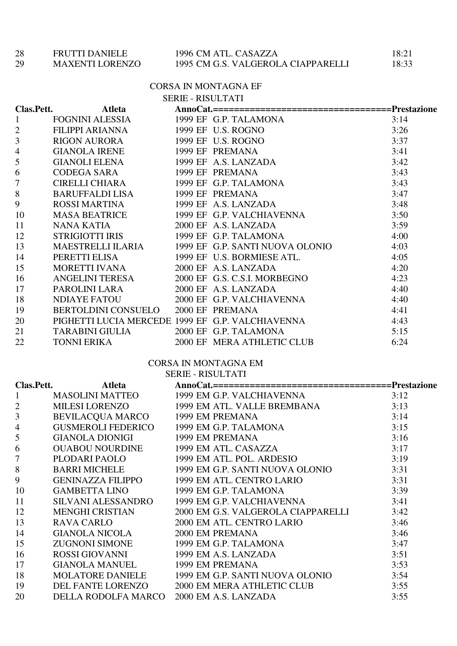| 28 | <b>FRUTTI DANIELE</b> |
|----|-----------------------|
|    |                       |

## 28 FRUTTI DANIELE 1996 CM ATL. CASAZZA 18:21<br>29 MAXENTI LORENZO 1995 CM G.S. VALGEROLA CIAPPARELLI 18:33 1995 CM G.S. VALGEROLA CIAPPARELLI

#### CORSA IN MONTAGNA EF

|                          |                                                  | <b>SERIE - RISULTATI</b> |                                                   |      |
|--------------------------|--------------------------------------------------|--------------------------|---------------------------------------------------|------|
| Clas.Pett.               | Atleta                                           |                          |                                                   |      |
| $\mathbf{1}$             | FOGNINI ALESSIA                                  |                          |                                                   | 3:14 |
| $\mathbf{2}$             | FILIPPI ARIANNA                                  |                          |                                                   | 3:26 |
| 3                        | RIGON AURORA                                     |                          |                                                   | 3:37 |
| $\overline{\mathcal{A}}$ | <b>GIANOLA IRENE</b>                             |                          |                                                   | 3:41 |
| 5                        | GIANOLI ELENA 1999 EF A.S. LANZADA               |                          |                                                   | 3:42 |
| 6                        | CODEGA SARA                                      |                          |                                                   | 3:43 |
| $\tau$                   | CIRELLI CHIARA                                   |                          |                                                   | 3:43 |
| 8                        | <b>BARUFFALDI LISA</b>                           |                          |                                                   | 3:47 |
| 9                        | ROSSI MARTINA 1999 EF A.S. LANZADA               |                          |                                                   | 3:48 |
| 10                       |                                                  |                          | MASA BEATRICE 1999 EF G.P. VALCHIAVENNA           | 3:50 |
| 11                       | NANA KATIA                                       |                          | 2000 EF A.S. LANZADA                              | 3:59 |
| 12                       | STRIGIOTTI IRIS 1999 EF G.P. TALAMONA            |                          |                                                   | 4:00 |
| 13                       |                                                  |                          | MAESTRELLI ILARIA 1999 EF G.P. SANTI NUOVA OLONIO | 4:03 |
| 14                       | PERETTI ELISA                                    |                          | 1999 EF U.S. BORMIESE ATL.                        | 4:05 |
| 15                       | MORETTI IVANA                                    |                          | 2000 EF A.S. LANZADA                              | 4:20 |
| 16                       |                                                  |                          | ANGELINI TERESA 2000 EF G.S. C.S.I. MORBEGNO      | 4:23 |
| 17                       | PAROLINI LARA                                    |                          | 2000 EF A.S. LANZADA                              | 4:40 |
| 18                       | NDIAYE FATOU                                     |                          | 2000 EF G.P. VALCHIAVENNA                         | 4:40 |
| 19                       | BERTOLDINI CONSUELO 2000 EF PREMANA              |                          |                                                   | 4:41 |
| 20                       | PIGHETTI LUCIA MERCEDE 1999 EF G.P. VALCHIAVENNA |                          |                                                   | 4:43 |
| 21                       | TARABINI GIULIA 2000 EF G.P. TALAMONA            |                          |                                                   | 5:15 |
| 22                       | <b>TONNI ERIKA</b>                               |                          | 2000 EF MERA ATHLETIC CLUB                        | 6:24 |

#### CORSA IN MONTAGNA EM SERIE - RISULTATI

| Clas.Pett.     |                                          | $9LNIL - N19ULIAI1$<br>Atleta AnnoCat.==================================Prestazione                                                             |      |
|----------------|------------------------------------------|-------------------------------------------------------------------------------------------------------------------------------------------------|------|
| $\mathbf{1}$   |                                          |                                                                                                                                                 |      |
| $\overline{2}$ |                                          | MASOLINI MATTEO 1999 EM G.P. VALCHIAVENNA 3:12<br>MILESI LORENZO 1999 EM ATL. VALLE BREMBANA 3:13                                               |      |
| 3              |                                          |                                                                                                                                                 | 3:14 |
| $\overline{4}$ |                                          |                                                                                                                                                 | 3:15 |
| 5              |                                          |                                                                                                                                                 | 3:16 |
| 6              |                                          | OUABOU NOURDINE<br>PLODARI PAOLO 1999 EM ATL. CASAZZA 3:17<br>BARRI MICHELE 1999 EM G.P. SANTI NUOVA OLONIO 3:31                                |      |
| $\tau$         |                                          |                                                                                                                                                 |      |
| 8              |                                          |                                                                                                                                                 |      |
| 9              |                                          | GENINAZZA FILIPPO 1999 EM ATL. CENTRO LARIO                                                                                                     | 3:31 |
| 10             | <b>GAMBETTA LINO</b>                     | 1999 EM G.P. TALAMONA                                                                                                                           | 3:39 |
| 11             |                                          | SILVANI ALESSANDRO 1999 EM G.P. VALCHIAVENNA                                                                                                    | 3:41 |
| 12             |                                          | MENGHI CRISTIAN 2000 EM G.S. VALGEROLA CIAPPARELLI 3:42                                                                                         |      |
| 13             | <b>RAVA CARLO</b>                        | 2000 EM ATL. CENTRO LARIO                                                                                                                       | 3:46 |
| 14             |                                          |                                                                                                                                                 | 3:46 |
| 15             |                                          | GIANOLA NICOLA 2000 EM PREMANA<br>ZUGNONI SIMONE 1999 EM G.P. TALAMONA<br>ROSSI GIOVANNI 1999 EM A.S. LANZADA<br>GIANOLA MANUEL 1999 EM PREMANA | 3:47 |
| 16             |                                          |                                                                                                                                                 | 3:51 |
| 17             |                                          |                                                                                                                                                 | 3:53 |
| 18             |                                          | MOLATORE DANIELE 1999 EM G.P. SANTI NUOVA OLONIO 3:54                                                                                           |      |
| 19             | DEL FANTE LORENZO                        | 2000 EM MERA ATHLETIC CLUB                                                                                                                      | 3:55 |
| 20             | DELLA RODOLFA MARCO 2000 EM A.S. LANZADA |                                                                                                                                                 | 3:55 |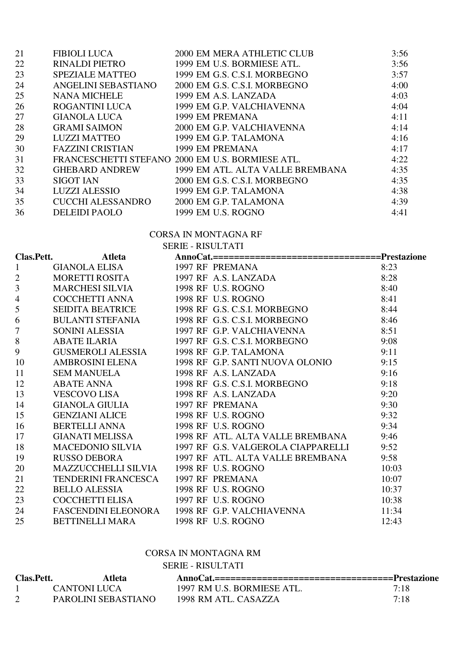| <b>FIBIOLI LUCA</b>    | 2000 EM MERA ATHLETIC CLUB       | 3:56                                             |
|------------------------|----------------------------------|--------------------------------------------------|
| <b>RINALDI PIETRO</b>  | 1999 EM U.S. BORMIESE ATL.       | 3:56                                             |
| <b>SPEZIALE MATTEO</b> | 1999 EM G.S. C.S.I. MORBEGNO     | 3:57                                             |
| ANGELINI SEBASTIANO    | 2000 EM G.S. C.S.I. MORBEGNO     | 4:00                                             |
| <b>NANA MICHELE</b>    | 1999 EM A.S. LANZADA             | 4:03                                             |
| ROGANTINI LUCA         | 1999 EM G.P. VALCHIAVENNA        | 4:04                                             |
| <b>GIANOLA LUCA</b>    | 1999 EM PREMANA                  | 4:11                                             |
| <b>GRAMI SAIMON</b>    | 2000 EM G.P. VALCHIAVENNA        | 4:14                                             |
| <b>LUZZI MATTEO</b>    | 1999 EM G.P. TALAMONA            | 4:16                                             |
| FAZZINI CRISTIAN       | 1999 EM PREMANA                  | 4:17                                             |
|                        |                                  | 4:22                                             |
| GHEBARD ANDREW         | 1999 EM ATL. ALTA VALLE BREMBANA | 4:35                                             |
| <b>SIGOT IAN</b>       | 2000 EM G.S. C.S.I. MORBEGNO     | 4:35                                             |
| <b>LUZZI ALESSIO</b>   | 1999 EM G.P. TALAMONA            | 4:38                                             |
| CUCCHI ALESSANDRO      | 2000 EM G.P. TALAMONA            | 4:39                                             |
| <b>DELEIDI PAOLO</b>   | 1999 EM U.S. ROGNO               | 4:41                                             |
|                        |                                  | FRANCESCHETTI STEFANO 2000 EM U.S. BORMIESE ATL. |

|                          |                                        | <b>CORSA IN MONTAGNA RF</b>                                                              |       |
|--------------------------|----------------------------------------|------------------------------------------------------------------------------------------|-------|
|                          |                                        | <b>SERIE - RISULTATI</b>                                                                 |       |
| Clas.Pett.               | <b>Atleta</b>                          | AnnoCat.==================================Prestazione                                    |       |
| $\mathbf{1}$             | GIANOLA ELISA                          |                                                                                          | 8:23  |
| $\overline{2}$           | <b>MORETTI ROSITA</b>                  | XIE - KISOLAAN<br>AnnoCat.===================<br>1997 RF PREMANA<br>1997 RF A.S. LANZADA | 8:28  |
| $\overline{3}$           | <b>MARCHESI SILVIA</b>                 |                                                                                          | 8:40  |
| $\overline{\mathcal{L}}$ | COCCHETTI ANNA                         |                                                                                          | 8:41  |
| 5                        | SEIDITA BEATRICE                       | 1998 RF G.S. C.S.I. MORBEGNO                                                             | 8:44  |
| 6                        | <b>BULANTI STEFANIA</b>                | 1998 RF G.S. C.S.I. MORBEGNO                                                             | 8:46  |
| $\overline{7}$           | SONINI ALESSIA                         | 1997 RF G.P. VALCHIAVENNA                                                                | 8:51  |
| 8                        | <b>ABATE ILARIA</b>                    | 1997 RF G.S. C.S.I. MORBEGNO                                                             | 9:08  |
| 9                        | <b>GUSMEROLI ALESSIA</b>               | 1998 RF G.P. TALAMONA                                                                    | 9:11  |
| 10                       | AMBROSINI ELENA                        | 1998 RF G.P. SANTI NUOVA OLONIO                                                          | 9:15  |
| 11                       | <b>SEM MANUELA</b>                     | 1998 RF A.S. LANZADA                                                                     | 9:16  |
| 12                       | ABATE ANNA                             | 1998 RF G.S. C.S.I. MORBEGNO                                                             | 9:18  |
| 13                       | VESCOVO LISA                           | 1998 RF A.S. LANZADA                                                                     | 9:20  |
| 14                       | <b>GIANOLA GIULIA</b>                  | 1997 RF PREMANA<br>1998 RF U.S. ROGNO                                                    | 9:30  |
| 15                       | <b>GENZIANI ALICE</b>                  |                                                                                          | 9:32  |
| 16                       | BERTELLI ANNA                          | 1998 RF U.S. ROGNO                                                                       | 9:34  |
| 17                       | <b>GIANATI MELISSA</b>                 | 1998 RF ATL. ALTA VALLE BREMBANA                                                         | 9:46  |
| 18                       | MACEDONIO SILVIA                       | 1997 RF G.S. VALGEROLA CIAPPARELLI                                                       | 9:52  |
| 19                       | <b>RUSSO DEBORA</b>                    | 1997 RF ATL. ALTA VALLE BREMBANA                                                         | 9:58  |
| 20                       | MAZZUCCHELLI SILVIA 1998 RF U.S. ROGNO |                                                                                          | 10:03 |
| 21                       | <b>TENDERINI FRANCESCA</b>             | 1997 RF PREMANA                                                                          | 10:07 |
| 22                       | BELLO ALESSIA                          | 1998 RF U.S. ROGNO                                                                       | 10:37 |
| 23                       | COCCHETTI ELISA                        | 1997 RF U.S. ROGNO                                                                       | 10:38 |
| 24                       |                                        | FASCENDINI ELEONORA 1998 RF G.P. VALCHIAVENNA                                            | 11:34 |
| 25                       | BETTINELLI MARA                        | 1998 RF U.S. ROGNO                                                                       | 12:43 |

# CORSA IN MONTAGNA RM

SERIE - RISULTATI

| Clas.Pett. | Atleta              | AnnoCat.===================================Prestazione |      |
|------------|---------------------|--------------------------------------------------------|------|
|            | CANTONI LUCA        | 1997 RM U.S. BORMIESE ATL.                             | 7:18 |
|            | PAROLINI SEBASTIANO | 1998 RM ATL. CASAZZA                                   | 7:18 |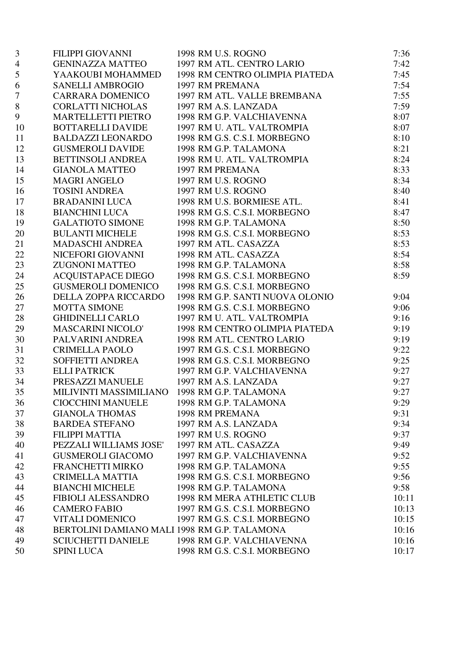| 3                | FILIPPI GIOVANNI                             | 1998 RM U.S. ROGNO              | 7:36  |
|------------------|----------------------------------------------|---------------------------------|-------|
| $\overline{4}$   | GENINAZZA MATTEO                             | 1997 RM ATL. CENTRO LARIO       | 7:42  |
| 5                | YAAKOUBI MOHAMMED                            | 1998 RM CENTRO OLIMPIA PIATEDA  | 7:45  |
| 6                | <b>SANELLI AMBROGIO</b>                      | 1997 RM PREMANA                 | 7:54  |
| $\boldsymbol{7}$ | CARRARA DOMENICO                             | 1997 RM ATL. VALLE BREMBANA     | 7:55  |
| 8                | CORLATTI NICHOLAS                            | 1997 RM A.S. LANZADA            | 7:59  |
| 9                | <b>MARTELLETTI PIETRO</b>                    | 1998 RM G.P. VALCHIAVENNA       | 8:07  |
| 10               | <b>BOTTARELLI DAVIDE</b>                     | 1997 RM U. ATL. VALTROMPIA      | 8:07  |
| 11               | <b>BALDAZZI LEONARDO</b>                     | 1998 RM G.S. C.S.I. MORBEGNO    | 8:10  |
| 12               | <b>GUSMEROLI DAVIDE</b>                      | 1998 RM G.P. TALAMONA           | 8:21  |
| 13               | <b>BETTINSOLI ANDREA</b>                     | 1998 RM U. ATL. VALTROMPIA      | 8:24  |
| 14               | <b>GIANOLA MATTEO</b>                        | 1997 RM PREMANA                 | 8:33  |
| 15               | <b>MAGRI ANGELO</b>                          | 1997 RM U.S. ROGNO              | 8:34  |
| 16               | <b>TOSINI ANDREA</b>                         | 1997 RM U.S. ROGNO              | 8:40  |
| 17               | BRADANINI LUCA                               | 1998 RM U.S. BORMIESE ATL.      | 8:41  |
| 18               | BIANCHINI LUCA                               | 1998 RM G.S. C.S.I. MORBEGNO    | 8:47  |
| 19               | <b>GALATIOTO SIMONE</b>                      | 1998 RM G.P. TALAMONA           | 8:50  |
| 20               | <b>BULANTI MICHELE</b>                       | 1998 RM G.S. C.S.I. MORBEGNO    | 8:53  |
| 21               | MADASCHI ANDREA                              | 1997 RM ATL. CASAZZA            | 8:53  |
| 22               | NICEFORI GIOVANNI                            | 1998 RM ATL. CASAZZA            | 8:54  |
| 23               | <b>ZUGNONI MATTEO</b>                        | 1998 RM G.P. TALAMONA           | 8:58  |
| 24               | ACQUISTAPACE DIEGO                           | 1998 RM G.S. C.S.I. MORBEGNO    | 8:59  |
| 25               | <b>GUSMEROLI DOMENICO</b>                    | 1998 RM G.S. C.S.I. MORBEGNO    |       |
| 26               | DELLA ZOPPA RICCARDO                         | 1998 RM G.P. SANTI NUOVA OLONIO | 9:04  |
| 27               | <b>MOTTA SIMONE</b>                          | 1998 RM G.S. C.S.I. MORBEGNO    | 9:06  |
| 28               | GHIDINELLI CARLO                             | 1997 RM U. ATL. VALTROMPIA      | 9:16  |
| 29               | <b>MASCARINI NICOLO'</b>                     | 1998 RM CENTRO OLIMPIA PIATEDA  | 9:19  |
| 30               | PALVARINI ANDREA                             | 1998 RM ATL. CENTRO LARIO       | 9:19  |
| 31               | CRIMELLA PAOLO                               | 1997 RM G.S. C.S.I. MORBEGNO    | 9:22  |
| 32               | SOFFIETTI ANDREA                             | 1998 RM G.S. C.S.I. MORBEGNO    | 9:25  |
| 33               | <b>ELLI PATRICK</b>                          | 1997 RM G.P. VALCHIAVENNA       | 9:27  |
| 34               | PRESAZZI MANUELE                             | 1997 RM A.S. LANZADA            | 9:27  |
| 35               | MILIVINTI MASSIMILIANO 1998 RM G.P. TALAMONA |                                 | 9:27  |
| 36               | <b>CIOCCHINI MANUELE</b>                     | 1998 RM G.P. TALAMONA           | 9:29  |
| 37               | <b>GIANOLA THOMAS</b>                        | 1998 RM PREMANA                 | 9:31  |
| 38               | <b>BARDEA STEFANO</b>                        | 1997 RM A.S. LANZADA            | 9:34  |
| 39               | <b>FILIPPI MATTIA</b>                        | 1997 RM U.S. ROGNO              | 9:37  |
| 40               | PEZZALI WILLIAMS JOSE'                       | 1997 RM ATL. CASAZZA            | 9:49  |
| 41               | <b>GUSMEROLI GIACOMO</b>                     | 1997 RM G.P. VALCHIAVENNA       | 9:52  |
| 42               | <b>FRANCHETTI MIRKO</b>                      | 1998 RM G.P. TALAMONA           | 9:55  |
| 43               | <b>CRIMELLA MATTIA</b>                       | 1998 RM G.S. C.S.I. MORBEGNO    | 9:56  |
| 44               | <b>BIANCHI MICHELE</b>                       | 1998 RM G.P. TALAMONA           | 9:58  |
| 45               | FIBIOLI ALESSANDRO                           | 1998 RM MERA ATHLETIC CLUB      | 10:11 |
| 46               | <b>CAMERO FABIO</b>                          | 1997 RM G.S. C.S.I. MORBEGNO    | 10:13 |
| 47               | <b>VITALI DOMENICO</b>                       | 1997 RM G.S. C.S.I. MORBEGNO    | 10:15 |
| 48               | BERTOLINI DAMIANO MALI 1998 RM G.P. TALAMONA |                                 | 10:16 |
| 49               | <b>SCIUCHETTI DANIELE</b>                    | 1998 RM G.P. VALCHIAVENNA       | 10:16 |
| 50               | <b>SPINI LUCA</b>                            | 1998 RM G.S. C.S.I. MORBEGNO    | 10:17 |
|                  |                                              |                                 |       |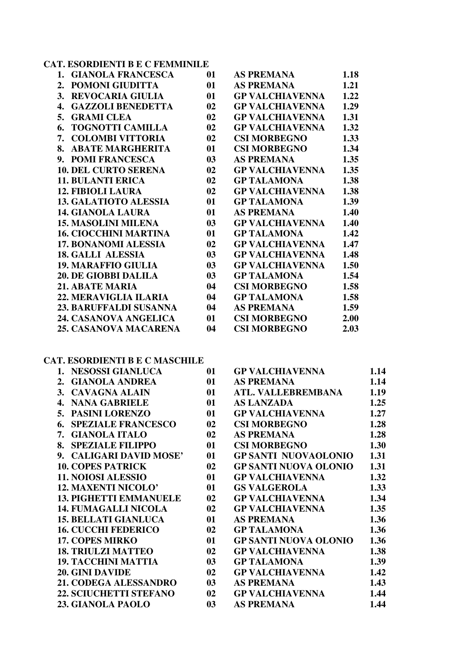# **CAT. ESORDIENTI B E C FEMMINILE**

| <b>GIANOLA FRANCESCA</b><br>1. | 01 | <b>AS PREMANA</b>      | 1.18 |
|--------------------------------|----|------------------------|------|
| POMONI GIUDITTA<br>2.          | 01 | <b>AS PREMANA</b>      | 1.21 |
| <b>REVOCARIA GIULIA</b><br>3.  | 01 | <b>GP VALCHIAVENNA</b> | 1.22 |
| <b>GAZZOLI BENEDETTA</b><br>4. | 02 | <b>GP VALCHIAVENNA</b> | 1.29 |
| <b>GRAMI CLEA</b><br>5.        | 02 | <b>GP VALCHIAVENNA</b> | 1.31 |
| <b>TOGNOTTI CAMILLA</b><br>6.  | 02 | <b>GP VALCHIAVENNA</b> | 1.32 |
| <b>COLOMBI VITTORIA</b><br>7.  | 02 | <b>CSI MORBEGNO</b>    | 1.33 |
| <b>ABATE MARGHERITA</b><br>8.  | 01 | <b>CSI MORBEGNO</b>    | 1.34 |
| 9. POMI FRANCESCA              | 03 | <b>AS PREMANA</b>      | 1.35 |
| <b>10. DEL CURTO SERENA</b>    | 02 | <b>GP VALCHIAVENNA</b> | 1.35 |
| <b>11. BULANTI ERICA</b>       | 02 | <b>GP TALAMONA</b>     | 1.38 |
| <b>12. FIBIOLI LAURA</b>       | 02 | <b>GP VALCHIAVENNA</b> | 1.38 |
| <b>13. GALATIOTO ALESSIA</b>   | 01 | <b>GP TALAMONA</b>     | 1.39 |
| <b>14. GIANOLA LAURA</b>       | 01 | <b>AS PREMANA</b>      | 1.40 |
| <b>15. MASOLINI MILENA</b>     | 03 | <b>GP VALCHIAVENNA</b> | 1.40 |
| <b>16. CIOCCHINI MARTINA</b>   | 01 | <b>GP TALAMONA</b>     | 1.42 |
| <b>17. BONANOMI ALESSIA</b>    | 02 | <b>GP VALCHIAVENNA</b> | 1.47 |
| <b>18. GALLI ALESSIA</b>       | 03 | <b>GP VALCHIAVENNA</b> | 1.48 |
| <b>19. MARAFFIO GIULIA</b>     | 03 | <b>GP VALCHIAVENNA</b> | 1.50 |
| <b>20. DE GIOBBI DALILA</b>    | 03 | <b>GP TALAMONA</b>     | 1.54 |
| <b>21. ABATE MARIA</b>         | 04 | <b>CSI MORBEGNO</b>    | 1.58 |
| <b>22. MERAVIGLIA ILARIA</b>   | 04 | <b>GP TALAMONA</b>     | 1.58 |
| <b>23. BARUFFALDI SUSANNA</b>  | 04 | <b>AS PREMANA</b>      | 1.59 |
| 24. CASANOVA ANGELICA          | 01 | <b>CSI MORBEGNO</b>    | 2.00 |
| <b>25. CASANOVA MACARENA</b>   | 04 | <b>CSI MORBEGNO</b>    | 2.03 |
|                                |    |                        |      |

# **CAT. ESORDIENTI B E C MASCHILE**

| 1. NESOSSI GIANLUCA             | 01 | <b>GP VALCHIAVENNA</b>       | 1.14 |
|---------------------------------|----|------------------------------|------|
| <b>GIANOLA ANDREA</b><br>2.     | 01 | <b>AS PREMANA</b>            | 1.14 |
| 3. CAVAGNA ALAIN                | 01 | <b>ATL. VALLEBREMBANA</b>    | 1.19 |
| <b>NANA GABRIELE</b><br>4.      | 01 | <b>AS LANZADA</b>            | 1.25 |
| 5. PASINI LORENZO               | 01 | <b>GP VALCHIAVENNA</b>       | 1.27 |
| <b>SPEZIALE FRANCESCO</b><br>6. | 02 | <b>CSI MORBEGNO</b>          | 1.28 |
| 7. GIANOLA ITALO                | 02 | <b>AS PREMANA</b>            | 1.28 |
| <b>SPEZIALE FILIPPO</b><br>8.   | 01 | <b>CSI MORBEGNO</b>          | 1.30 |
| 9. CALIGARI DAVID MOSE'         | 01 | <b>GP SANTI NUOVAOLONIO</b>  | 1.31 |
| <b>10. COPES PATRICK</b>        | 02 | <b>GP SANTI NUOVA OLONIO</b> | 1.31 |
| <b>11. NOIOSI ALESSIO</b>       | 01 | <b>GP VALCHIAVENNA</b>       | 1.32 |
| <b>12. MAXENTI NICOLO'</b>      | 01 | <b>GS VALGEROLA</b>          | 1.33 |
| <b>13. PIGHETTI EMMANUELE</b>   | 02 | <b>GP VALCHIAVENNA</b>       | 1.34 |
| <b>14. FUMAGALLI NICOLA</b>     | 02 | <b>GP VALCHIAVENNA</b>       | 1.35 |
| <b>15. BELLATI GIANLUCA</b>     | 01 | <b>AS PREMANA</b>            | 1.36 |
| <b>16. CUCCHI FEDERICO</b>      | 02 | <b>GP TALAMONA</b>           | 1.36 |
| <b>17. COPES MIRKO</b>          | 01 | <b>GP SANTI NUOVA OLONIO</b> | 1.36 |
| <b>18. TRIULZI MATTEO</b>       | 02 | <b>GP VALCHIAVENNA</b>       | 1.38 |
| <b>19. TACCHINI MATTIA</b>      | 03 | <b>GP TALAMONA</b>           | 1.39 |
| <b>20. GINI DAVIDE</b>          | 02 | <b>GP VALCHIAVENNA</b>       | 1.42 |
| 21. CODEGA ALESSANDRO           | 03 | <b>AS PREMANA</b>            | 1.43 |
| <b>22. SCIUCHETTI STEFANO</b>   | 02 | <b>GP VALCHIAVENNA</b>       | 1.44 |
| 23. GIANOLA PAOLO               | 03 | <b>AS PREMANA</b>            | 1.44 |
|                                 |    |                              |      |